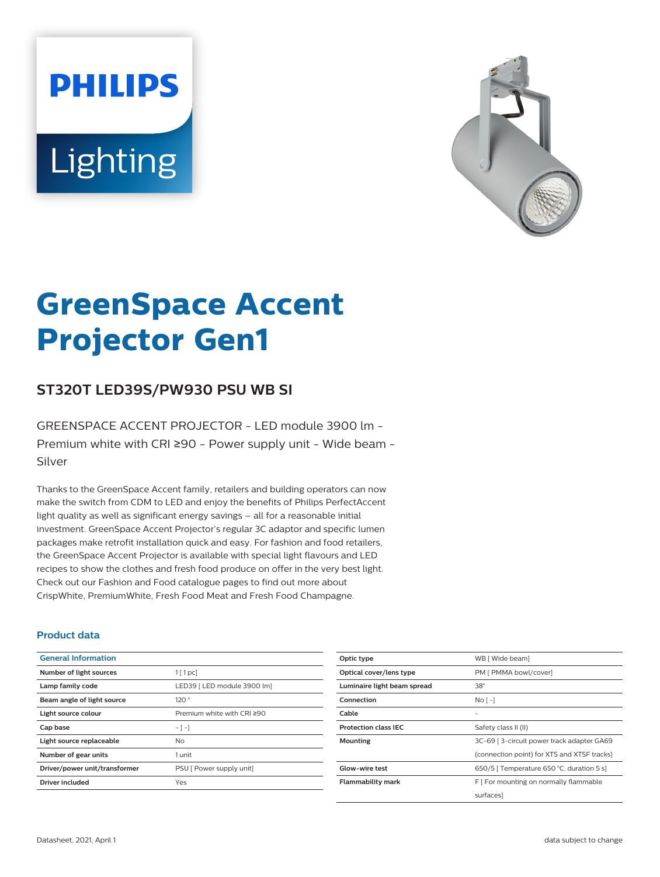# **PHILIPS** Lighting



# **GreenSpace Accent Projector Gen1**

# **ST320T LED39S/PW930 PSU WB SI**

GREENSPACE ACCENT PROJECTOR - LED module 3900 lm - Premium white with CRI ≥90 - Power supply unit - Wide beam - Silver

Thanks to the GreenSpace Accent family, retailers and building operators can now make the switch from CDM to LED and enjoy the benefits of Philips PerfectAccent light quality as well as significant energy savings – all for a reasonable initial investment. GreenSpace Accent Projector's regular 3C adaptor and specific lumen packages make retrofit installation quick and easy. For fashion and food retailers, the GreenSpace Accent Projector is available with special light flavours and LED recipes to show the clothes and fresh food produce on offer in the very best light. Check out our Fashion and Food catalogue pages to find out more about CrispWhite, PremiumWhite, Fresh Food Meat and Fresh Food Champagne.

#### **Product data**

| <b>General Information</b>    |                             |
|-------------------------------|-----------------------------|
| Number of light sources       | $1$ [ 1 pc]                 |
| Lamp family code              | LED39   LED module 3900 lm] |
| Beam angle of light source    | 120°                        |
| Light source colour           | Premium white with CRI ≥90  |
| Cap base                      | $-[-]$                      |
| Light source replaceable      | No.                         |
| Number of gear units          | 1 unit                      |
| Driver/power unit/transformer | PSU [ Power supply unit]    |
| <b>Driver included</b>        | Yes                         |

| Optic type                  | WB [ Wide beam]                             |
|-----------------------------|---------------------------------------------|
| Optical cover/lens type     | PM [ PMMA bowl/cover]                       |
| Luminaire light beam spread | $38^\circ$                                  |
| Connection                  | No <sub>1</sub>                             |
| Cable                       |                                             |
| <b>Protection class IEC</b> | Safety class II (II)                        |
| <b>Mounting</b>             | 3C-69   3-circuit power track adapter GA69  |
|                             | (connection point) for XTS and XTSF tracks] |
| Glow-wire test              | 650/5   Temperature 650 °C, duration 5 s]   |
| Flammability mark           | F   For mounting on normally flammable      |
|                             | surfaces]                                   |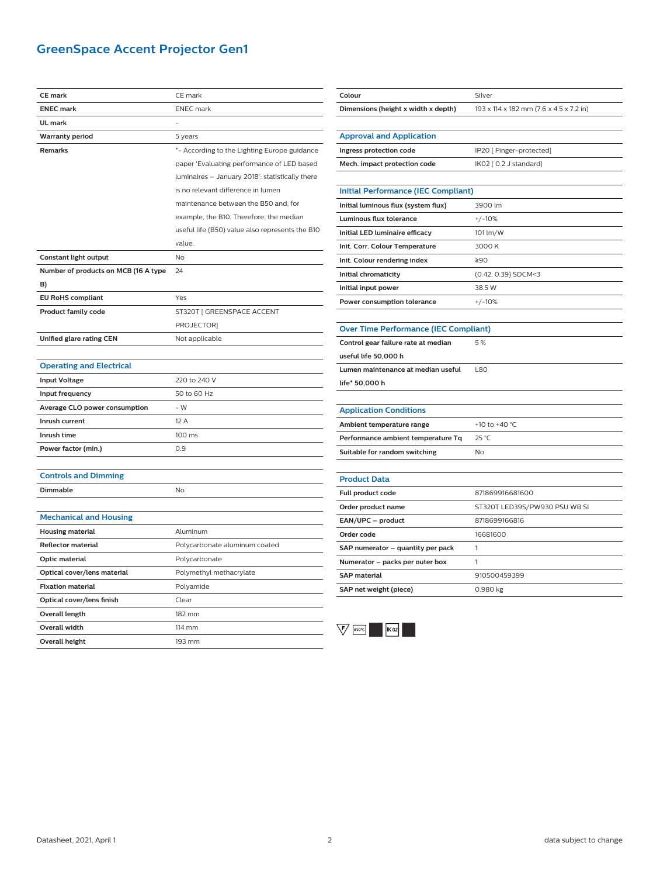# **GreenSpace Accent Projector Gen1**

| <b>CE</b> mark                       | CE mark                                         |
|--------------------------------------|-------------------------------------------------|
| <b>ENEC mark</b>                     | <b>ENEC</b> mark                                |
| UL mark                              |                                                 |
| <b>Warranty period</b>               | 5 years                                         |
| Remarks                              | *- According to the Lighting Europe guidance    |
|                                      | paper 'Evaluating performance of LED based      |
|                                      | luminaires - January 2018': statistically there |
|                                      | is no relevant difference in lumen              |
|                                      | maintenance between the B50 and, for            |
|                                      | example, the B10. Therefore, the median         |
|                                      | useful life (B50) value also represents the B10 |
|                                      | value.                                          |
| Constant light output                | <b>No</b>                                       |
| Number of products on MCB (16 A type | 24                                              |
| B)                                   |                                                 |
| <b>EU RoHS compliant</b>             | Yes                                             |
| <b>Product family code</b>           | ST320T [ GREENSPACE ACCENT                      |
|                                      | PROJECTOR]                                      |
| Unified glare rating CEN             | Not applicable                                  |
|                                      |                                                 |
| <b>Operating and Electrical</b>      |                                                 |
| <b>Input Voltage</b>                 | 220 to 240 V                                    |
| Input frequency                      | 50 to 60 Hz                                     |
| Average CLO power consumption        | $-W$                                            |
| Inrush current                       | 12 A                                            |
| Inrush time                          | 100 ms                                          |
| Power factor (min.)                  | 0.9                                             |
|                                      |                                                 |
| <b>Controls and Dimming</b>          |                                                 |
| Dimmable                             | No                                              |
|                                      |                                                 |
| <b>Mechanical and Housing</b>        |                                                 |
| <b>Housing material</b>              | Aluminum                                        |
| <b>Reflector material</b>            | Polycarbonate aluminum coated                   |
| Optic material                       | Polycarbonate                                   |
| Optical cover/lens material          | Polymethyl methacrylate                         |
| <b>Fixation material</b>             | Polyamide                                       |
| Optical cover/lens finish            | Clear                                           |
| Overall length                       | 182 mm                                          |
| Overall width                        | 114 mm                                          |
| Overall height                       | 193 mm                                          |

| Colour                                       | Silver                                  |
|----------------------------------------------|-----------------------------------------|
| Dimensions (height x width x depth)          | 193 x 114 x 182 mm (7.6 x 4.5 x 7.2 in) |
|                                              |                                         |
| <b>Approval and Application</b>              |                                         |
| Ingress protection code                      | IP20 [ Finger-protected]                |
| Mech. impact protection code                 | IK02 [ 0.2 J standard]                  |
|                                              |                                         |
| <b>Initial Performance (IEC Compliant)</b>   |                                         |
| Initial luminous flux (system flux)          | 3900 lm                                 |
| Luminous flux tolerance                      | $+/-10%$                                |
| Initial LED luminaire efficacy               | 101 lm/W                                |
| Init. Corr. Colour Temperature               | 3000K                                   |
| Init. Colour rendering index                 | ≥90                                     |
| Initial chromaticity                         | (0.42, 0.39) SDCM<3                     |
| Initial input power                          | 38.5 W                                  |
| Power consumption tolerance                  | $+/-10%$                                |
|                                              |                                         |
| <b>Over Time Performance (IEC Compliant)</b> |                                         |
| Control gear failure rate at median          | 5%                                      |
| useful life 50,000 h                         |                                         |
| Lumen maintenance at median useful           | L80                                     |
| life* 50,000 h                               |                                         |
|                                              |                                         |
| <b>Application Conditions</b>                |                                         |
| Ambient temperature range                    | +10 to +40 °C                           |
| Performance ambient temperature Tq           | 25 °C                                   |
| Suitable for random switching                | No                                      |
|                                              |                                         |
| <b>Product Data</b>                          |                                         |
| <b>Full product code</b>                     | 871869916681600                         |
| Order product name                           | ST320T LED39S/PW930 PSU WB SI           |
| EAN/UPC - product                            | 8718699166816                           |
| Order code                                   | 16681600                                |
| SAP numerator – quantity per pack            | 1                                       |
| Numerator – packs per outer box              | 1                                       |
| <b>SAP</b> material                          | 910500459399                            |
| SAP net weight (piece)                       | 0.980 kg                                |

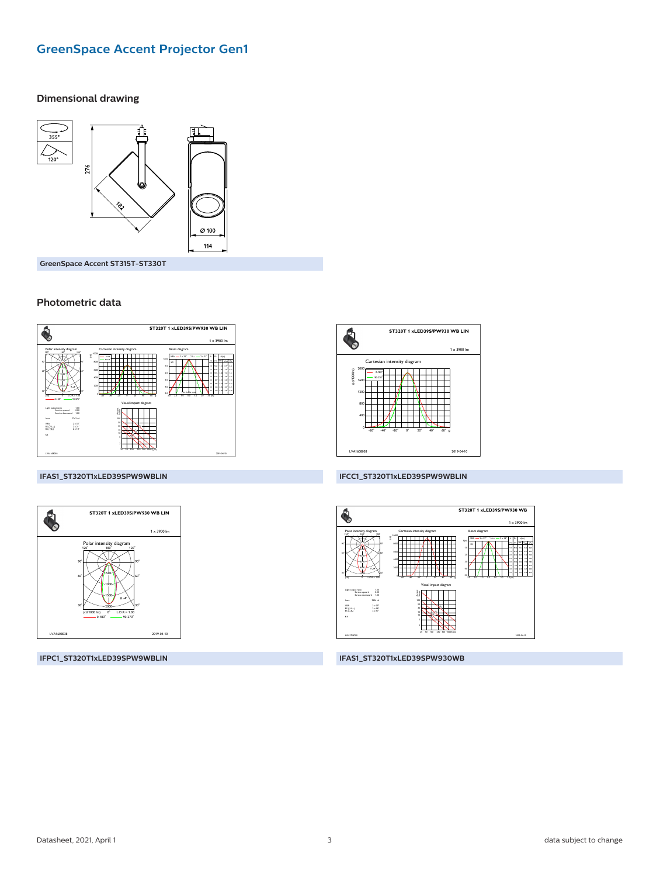## **GreenSpace Accent Projector Gen1**

#### **Dimensional drawing**



GreenSpace Accent ST315T-ST330T

#### Photometric data



#### IFAS1\_ST320T1xLED39SPW9WBLIN



IFPC1\_ST320T1xLED39SPW9WBLIN



#### IFCC1\_ST320T1xLED39SPW9WBLIN



#### IFAS1\_ST320T1xLED39SPW930WB